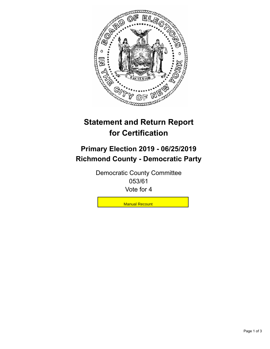

## **Statement and Return Report for Certification**

## **Primary Election 2019 - 06/25/2019 Richmond County - Democratic Party**

Democratic County Committee 053/61 Vote for 4

Manual Recount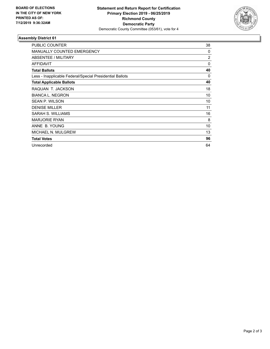

## **Assembly District 61**

| <b>PUBLIC COUNTER</b>                                    | 38             |
|----------------------------------------------------------|----------------|
| <b>MANUALLY COUNTED EMERGENCY</b>                        | 0              |
| ABSENTEE / MILITARY                                      | $\overline{2}$ |
| <b>AFFIDAVIT</b>                                         | 0              |
| <b>Total Ballots</b>                                     | 40             |
| Less - Inapplicable Federal/Special Presidential Ballots | $\Omega$       |
| <b>Total Applicable Ballots</b>                          | 40             |
| RAQUAN T. JACKSON                                        | 18             |
| <b>BIANCA L. NEGRON</b>                                  | 10             |
| SEAN P. WILSON                                           | 10             |
| <b>DENISE MILLER</b>                                     | 11             |
| SARAH S. WILLIAMS                                        | 16             |
| <b>MARJORIE RYAN</b>                                     | 8              |
| ANNE B. YOUNG                                            | 10             |
| <b>MICHAEL N. MULGREW</b>                                | 13             |
| <b>Total Votes</b>                                       | 96             |
| Unrecorded                                               | 64             |